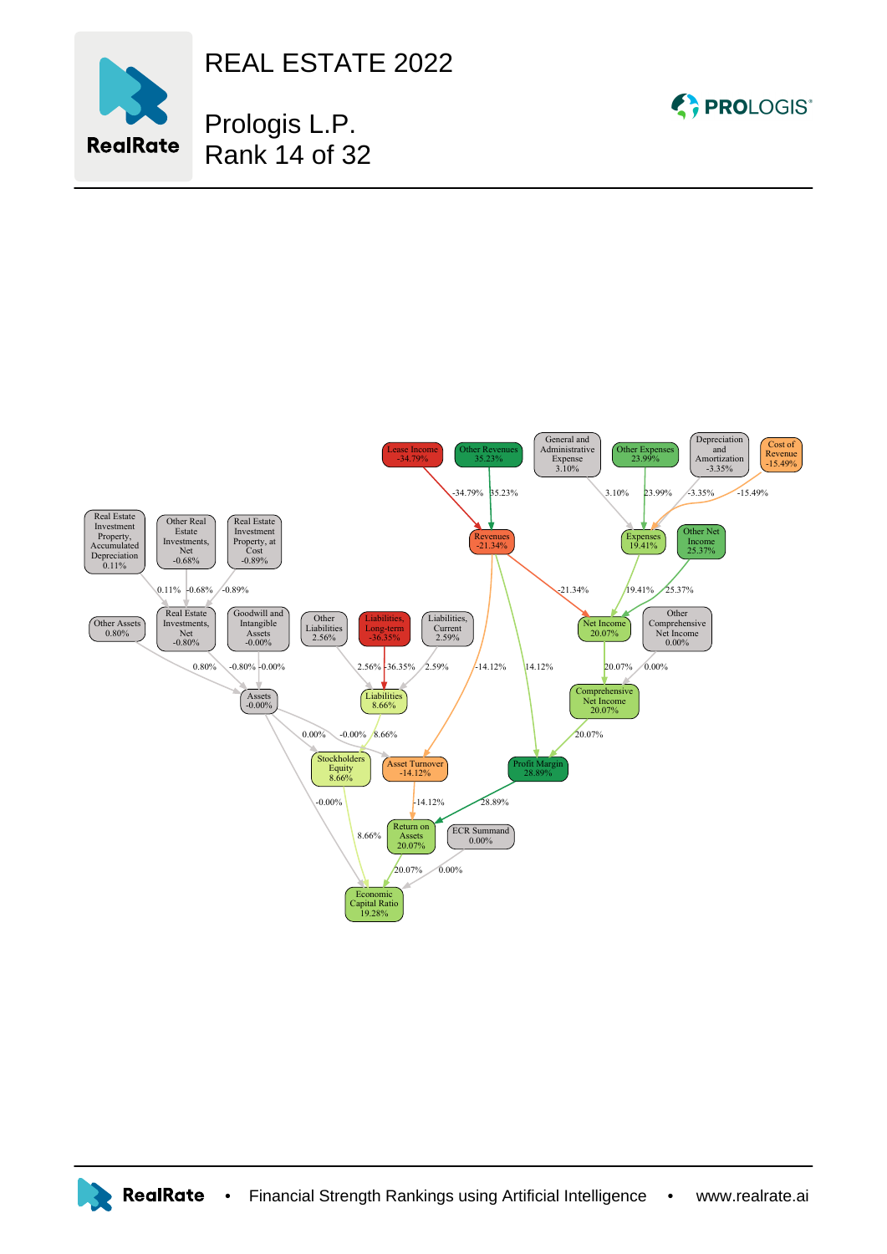

REAL ESTATE 2022